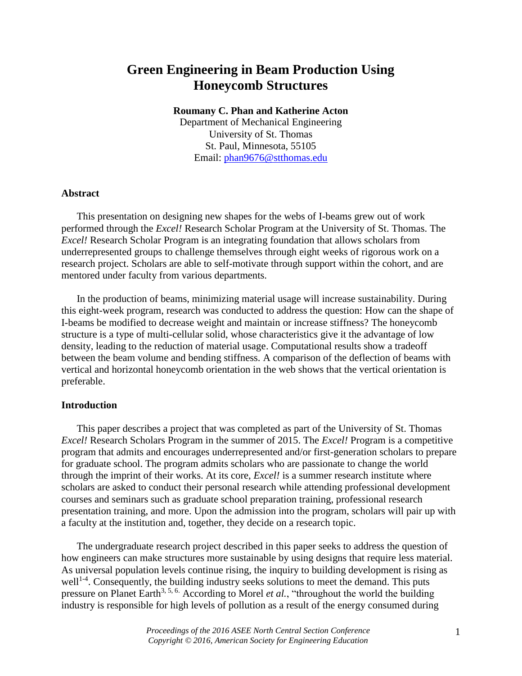# **Green Engineering in Beam Production Using Honeycomb Structures**

## **Roumany C. Phan and Katherine Acton**

Department of Mechanical Engineering University of St. Thomas St. Paul, Minnesota, 55105 Email: [phan9676@stthomas.edu](mailto:john.smith@email.edu)

## **Abstract**

This presentation on designing new shapes for the webs of I-beams grew out of work performed through the *Excel!* Research Scholar Program at the University of St. Thomas. The *Excel!* Research Scholar Program is an integrating foundation that allows scholars from underrepresented groups to challenge themselves through eight weeks of rigorous work on a research project. Scholars are able to self-motivate through support within the cohort, and are mentored under faculty from various departments.

In the production of beams, minimizing material usage will increase sustainability. During this eight-week program, research was conducted to address the question: How can the shape of I-beams be modified to decrease weight and maintain or increase stiffness? The honeycomb structure is a type of multi-cellular solid, whose characteristics give it the advantage of low density, leading to the reduction of material usage. Computational results show a tradeoff between the beam volume and bending stiffness. A comparison of the deflection of beams with vertical and horizontal honeycomb orientation in the web shows that the vertical orientation is preferable.

## **Introduction**

This paper describes a project that was completed as part of the University of St. Thomas *Excel!* Research Scholars Program in the summer of 2015. The *Excel!* Program is a competitive program that admits and encourages underrepresented and/or first-generation scholars to prepare for graduate school. The program admits scholars who are passionate to change the world through the imprint of their works. At its core, *Excel!* is a summer research institute where scholars are asked to conduct their personal research while attending professional development courses and seminars such as graduate school preparation training, professional research presentation training, and more. Upon the admission into the program, scholars will pair up with a faculty at the institution and, together, they decide on a research topic.

The undergraduate research project described in this paper seeks to address the question of how engineers can make structures more sustainable by using designs that require less material. As universal population levels continue rising, the inquiry to building development is rising as  $well<sup>1-4</sup>$ . Consequently, the building industry seeks solutions to meet the demand. This puts pressure on Planet Earth<sup>3, 5, 6.</sup> According to Morel *et al.*, "throughout the world the building industry is responsible for high levels of pollution as a result of the energy consumed during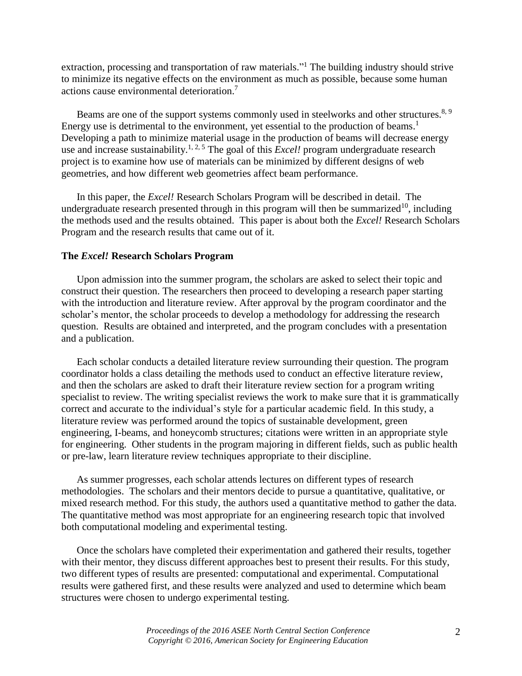extraction, processing and transportation of raw materials."<sup>1</sup> The building industry should strive to minimize its negative effects on the environment as much as possible, because some human actions cause environmental deterioration. 7

Beams are one of the support systems commonly used in steelworks and other structures.<sup>8, 9</sup> Energy use is detrimental to the environment, yet essential to the production of beams.<sup>1</sup> Developing a path to minimize material usage in the production of beams will decrease energy use and increase sustainability.<sup>1, 2, 5</sup> The goal of this *Excel!* program undergraduate research project is to examine how use of materials can be minimized by different designs of web geometries, and how different web geometries affect beam performance.

In this paper, the *Excel!* Research Scholars Program will be described in detail. The undergraduate research presented through in this program will then be summarized<sup>10</sup>, including the methods used and the results obtained. This paper is about both the *Excel!* Research Scholars Program and the research results that came out of it.

## **The** *Excel!* **Research Scholars Program**

Upon admission into the summer program, the scholars are asked to select their topic and construct their question. The researchers then proceed to developing a research paper starting with the introduction and literature review. After approval by the program coordinator and the scholar's mentor, the scholar proceeds to develop a methodology for addressing the research question. Results are obtained and interpreted, and the program concludes with a presentation and a publication.

Each scholar conducts a detailed literature review surrounding their question. The program coordinator holds a class detailing the methods used to conduct an effective literature review, and then the scholars are asked to draft their literature review section for a program writing specialist to review. The writing specialist reviews the work to make sure that it is grammatically correct and accurate to the individual's style for a particular academic field. In this study, a literature review was performed around the topics of sustainable development, green engineering, I-beams, and honeycomb structures; citations were written in an appropriate style for engineering. Other students in the program majoring in different fields, such as public health or pre-law, learn literature review techniques appropriate to their discipline.

As summer progresses, each scholar attends lectures on different types of research methodologies. The scholars and their mentors decide to pursue a quantitative, qualitative, or mixed research method. For this study, the authors used a quantitative method to gather the data. The quantitative method was most appropriate for an engineering research topic that involved both computational modeling and experimental testing.

Once the scholars have completed their experimentation and gathered their results, together with their mentor, they discuss different approaches best to present their results. For this study, two different types of results are presented: computational and experimental. Computational results were gathered first, and these results were analyzed and used to determine which beam structures were chosen to undergo experimental testing.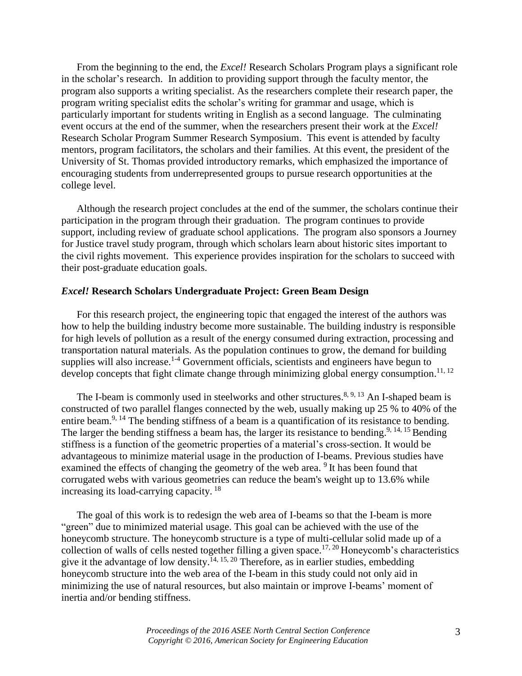From the beginning to the end, the *Excel!* Research Scholars Program plays a significant role in the scholar's research. In addition to providing support through the faculty mentor, the program also supports a writing specialist. As the researchers complete their research paper, the program writing specialist edits the scholar's writing for grammar and usage, which is particularly important for students writing in English as a second language. The culminating event occurs at the end of the summer, when the researchers present their work at the *Excel!* Research Scholar Program Summer Research Symposium. This event is attended by faculty mentors, program facilitators, the scholars and their families. At this event, the president of the University of St. Thomas provided introductory remarks, which emphasized the importance of encouraging students from underrepresented groups to pursue research opportunities at the college level.

Although the research project concludes at the end of the summer, the scholars continue their participation in the program through their graduation. The program continues to provide support, including review of graduate school applications. The program also sponsors a Journey for Justice travel study program, through which scholars learn about historic sites important to the civil rights movement. This experience provides inspiration for the scholars to succeed with their post-graduate education goals.

## *Excel!* **Research Scholars Undergraduate Project: Green Beam Design**

For this research project, the engineering topic that engaged the interest of the authors was how to help the building industry become more sustainable. The building industry is responsible for high levels of pollution as a result of the energy consumed during extraction, processing and transportation natural materials. As the population continues to grow, the demand for building supplies will also increase.<sup>1-4</sup> Government officials, scientists and engineers have begun to develop concepts that fight climate change through minimizing global energy consumption.<sup>11, 12</sup>

The I-beam is commonly used in steelworks and other structures.<sup>8, 9, 13</sup> An I-shaped beam is constructed of two parallel flanges connected by the web, usually making up 25 % to 40% of the entire beam.<sup>9, 14</sup> The bending stiffness of a beam is a quantification of its resistance to bending. The larger the bending stiffness a beam has, the larger its resistance to bending.<sup>9, 14, 15</sup> Bending stiffness is a function of the geometric properties of a material's cross-section. It would be advantageous to minimize material usage in the production of I-beams. Previous studies have examined the effects of changing the geometry of the web area. <sup>9</sup> It has been found that corrugated webs with various geometries can reduce the beam's weight up to 13.6% while increasing its load-carrying capacity. 18

The goal of this work is to redesign the web area of I-beams so that the I-beam is more "green" due to minimized material usage. This goal can be achieved with the use of the honeycomb structure. The honeycomb structure is a type of multi-cellular solid made up of a collection of walls of cells nested together filling a given space.<sup>17, 20</sup> Honeycomb's characteristics give it the advantage of low density.<sup>14, 15, 20</sup> Therefore, as in earlier studies, embedding honeycomb structure into the web area of the I-beam in this study could not only aid in minimizing the use of natural resources, but also maintain or improve I-beams' moment of inertia and/or bending stiffness.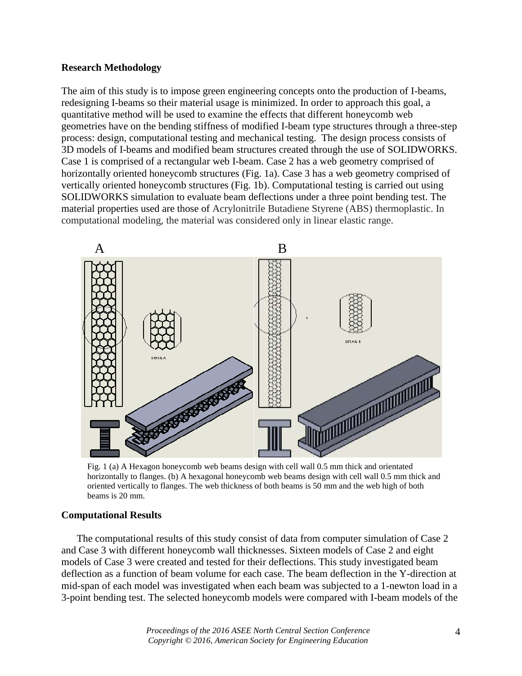## **Research Methodology**

The aim of this study is to impose green engineering concepts onto the production of I-beams, redesigning I-beams so their material usage is minimized. In order to approach this goal, a quantitative method will be used to examine the effects that different honeycomb web geometries have on the bending stiffness of modified I-beam type structures through a three-step process: design, computational testing and mechanical testing. The design process consists of 3D models of I-beams and modified beam structures created through the use of SOLIDWORKS. Case 1 is comprised of a rectangular web I-beam. Case 2 has a web geometry comprised of horizontally oriented honeycomb structures (Fig. 1a). Case 3 has a web geometry comprised of vertically oriented honeycomb structures (Fig. 1b). Computational testing is carried out using SOLIDWORKS simulation to evaluate beam deflections under a three point bending test. The material properties used are those of Acrylonitrile Butadiene Styrene (ABS) thermoplastic. In computational modeling, the material was considered only in linear elastic range.



Fig. 1 (a) A Hexagon honeycomb web beams design with cell wall 0.5 mm thick and orientated horizontally to flanges. (b) A hexagonal honeycomb web beams design with cell wall 0.5 mm thick and oriented vertically to flanges. The web thickness of both beams is 50 mm and the web high of both beams is 20 mm.

## **Computational Results**

The computational results of this study consist of data from computer simulation of Case 2 and Case 3 with different honeycomb wall thicknesses. Sixteen models of Case 2 and eight models of Case 3 were created and tested for their deflections. This study investigated beam deflection as a function of beam volume for each case. The beam deflection in the Y-direction at mid-span of each model was investigated when each beam was subjected to a 1-newton load in a 3-point bending test. The selected honeycomb models were compared with I-beam models of the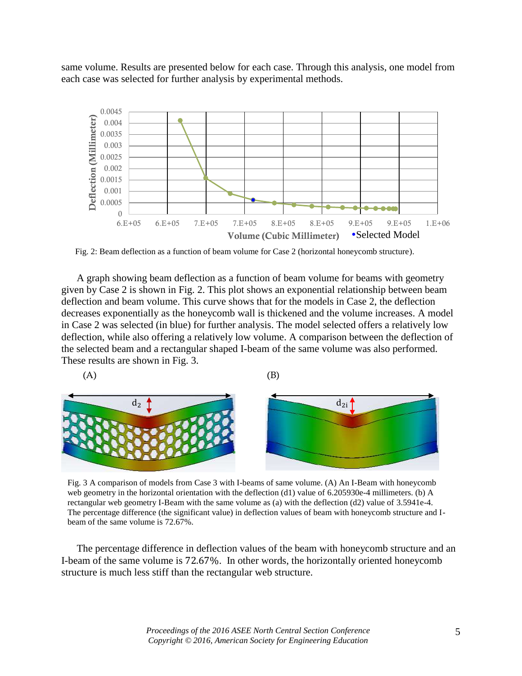same volume. Results are presented below for each case. Through this analysis, one model from each case was selected for further analysis by experimental methods.



Fig. 2: Beam deflection as a function of beam volume for Case 2 (horizontal honeycomb structure).

A graph showing beam deflection as a function of beam volume for beams with geometry given by Case 2 is shown in Fig. 2. This plot shows an exponential relationship between beam deflection and beam volume. This curve shows that for the models in Case 2, the deflection decreases exponentially as the honeycomb wall is thickened and the volume increases. A model in Case 2 was selected (in blue) for further analysis. The model selected offers a relatively low deflection, while also offering a relatively low volume. A comparison between the deflection of the selected beam and a rectangular shaped I-beam of the same volume was also performed. These results are shown in Fig. 3.

 $(A)$  (B)



Fig. 3 A comparison of models from Case 3 with I-beams of same volume. (A) An I-Beam with honeycomb web geometry in the horizontal orientation with the deflection (d1) value of 6.205930e-4 millimeters. (b) A rectangular web geometry I-Beam with the same volume as (a) with the deflection (d2) value of 3.5941e-4. The percentage difference (the significant value) in deflection values of beam with honeycomb structure and Ibeam of the same volume is 72.67%.

The percentage difference in deflection values of the beam with honeycomb structure and an I-beam of the same volume is 72.67%. In other words, the horizontally oriented honeycomb structure is much less stiff than the rectangular web structure.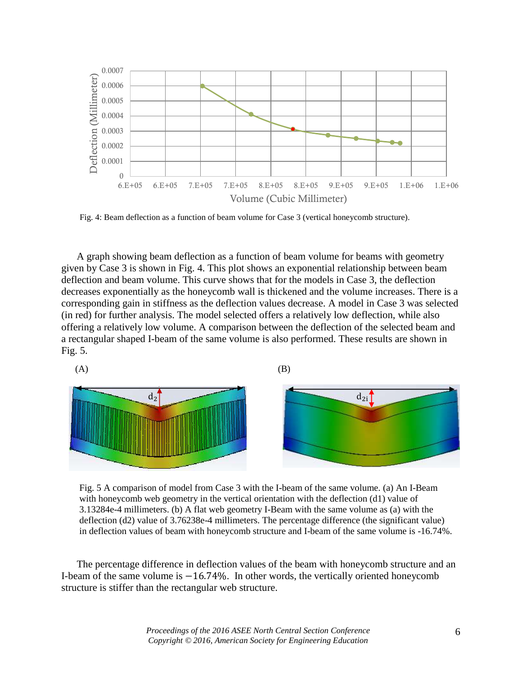

Fig. 4: Beam deflection as a function of beam volume for Case 3 (vertical honeycomb structure).

A graph showing beam deflection as a function of beam volume for beams with geometry given by Case 3 is shown in Fig. 4. This plot shows an exponential relationship between beam deflection and beam volume. This curve shows that for the models in Case 3, the deflection decreases exponentially as the honeycomb wall is thickened and the volume increases. There is a corresponding gain in stiffness as the deflection values decrease. A model in Case 3 was selected (in red) for further analysis. The model selected offers a relatively low deflection, while also offering a relatively low volume. A comparison between the deflection of the selected beam and a rectangular shaped I-beam of the same volume is also performed. These results are shown in Fig. 5.



Fig. 5 A comparison of model from Case 3 with the I-beam of the same volume. (a) An I-Beam with honeycomb web geometry in the vertical orientation with the deflection (d1) value of 3.13284e-4 millimeters. (b) A flat web geometry I-Beam with the same volume as (a) with the deflection (d2) value of 3.76238e-4 millimeters. The percentage difference (the significant value) in deflection values of beam with honeycomb structure and I-beam of the same volume is -16.74%.

The percentage difference in deflection values of the beam with honeycomb structure and an I-beam of the same volume is −16.74%. In other words, the vertically oriented honeycomb structure is stiffer than the rectangular web structure.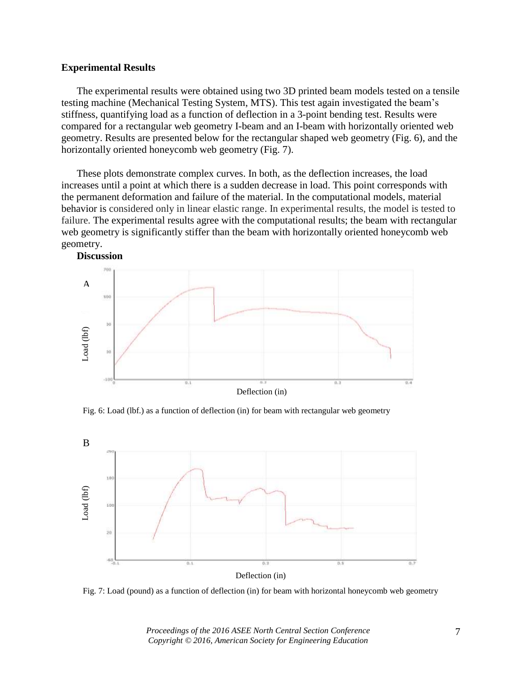## **Experimental Results**

The experimental results were obtained using two 3D printed beam models tested on a tensile testing machine (Mechanical Testing System, MTS). This test again investigated the beam's stiffness, quantifying load as a function of deflection in a 3-point bending test. Results were compared for a rectangular web geometry I-beam and an I-beam with horizontally oriented web geometry. Results are presented below for the rectangular shaped web geometry (Fig. 6), and the horizontally oriented honeycomb web geometry (Fig. 7).

These plots demonstrate complex curves. In both, as the deflection increases, the load increases until a point at which there is a sudden decrease in load. This point corresponds with the permanent deformation and failure of the material. In the computational models, material behavior is considered only in linear elastic range. In experimental results, the model is tested to failure. The experimental results agree with the computational results; the beam with rectangular web geometry is significantly stiffer than the beam with horizontally oriented honeycomb web geometry.



Fig. 6: Load (lbf.) as a function of deflection (in) for beam with rectangular web geometry



Fig. 7: Load (pound) as a function of deflection (in) for beam with horizontal honeycomb web geometry

*Proceedings of the 2016 ASEE North Central Section Conference Copyright © 2016, American Society for Engineering Education*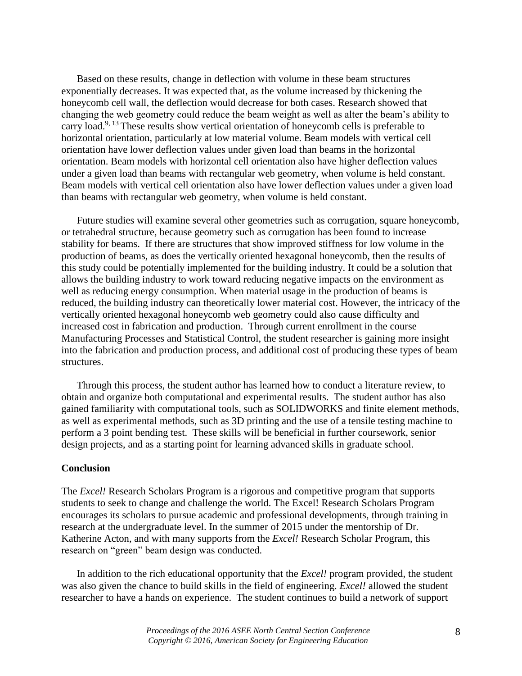Based on these results, change in deflection with volume in these beam structures exponentially decreases. It was expected that, as the volume increased by thickening the honeycomb cell wall, the deflection would decrease for both cases. Research showed that changing the web geometry could reduce the beam weight as well as alter the beam's ability to carry load.<sup>9, 13</sup> These results show vertical orientation of honeycomb cells is preferable to horizontal orientation, particularly at low material volume. Beam models with vertical cell orientation have lower deflection values under given load than beams in the horizontal orientation. Beam models with horizontal cell orientation also have higher deflection values under a given load than beams with rectangular web geometry, when volume is held constant. Beam models with vertical cell orientation also have lower deflection values under a given load than beams with rectangular web geometry, when volume is held constant.

Future studies will examine several other geometries such as corrugation, square honeycomb, or tetrahedral structure, because geometry such as corrugation has been found to increase stability for beams. If there are structures that show improved stiffness for low volume in the production of beams, as does the vertically oriented hexagonal honeycomb, then the results of this study could be potentially implemented for the building industry. It could be a solution that allows the building industry to work toward reducing negative impacts on the environment as well as reducing energy consumption. When material usage in the production of beams is reduced, the building industry can theoretically lower material cost. However, the intricacy of the vertically oriented hexagonal honeycomb web geometry could also cause difficulty and increased cost in fabrication and production. Through current enrollment in the course Manufacturing Processes and Statistical Control, the student researcher is gaining more insight into the fabrication and production process, and additional cost of producing these types of beam structures.

Through this process, the student author has learned how to conduct a literature review, to obtain and organize both computational and experimental results. The student author has also gained familiarity with computational tools, such as SOLIDWORKS and finite element methods, as well as experimental methods, such as 3D printing and the use of a tensile testing machine to perform a 3 point bending test. These skills will be beneficial in further coursework, senior design projects, and as a starting point for learning advanced skills in graduate school.

#### **Conclusion**

The *Excel!* Research Scholars Program is a rigorous and competitive program that supports students to seek to change and challenge the world. The Excel! Research Scholars Program encourages its scholars to pursue academic and professional developments, through training in research at the undergraduate level. In the summer of 2015 under the mentorship of Dr. Katherine Acton, and with many supports from the *Excel!* Research Scholar Program, this research on "green" beam design was conducted.

In addition to the rich educational opportunity that the *Excel!* program provided, the student was also given the chance to build skills in the field of engineering. *Excel!* allowed the student researcher to have a hands on experience. The student continues to build a network of support